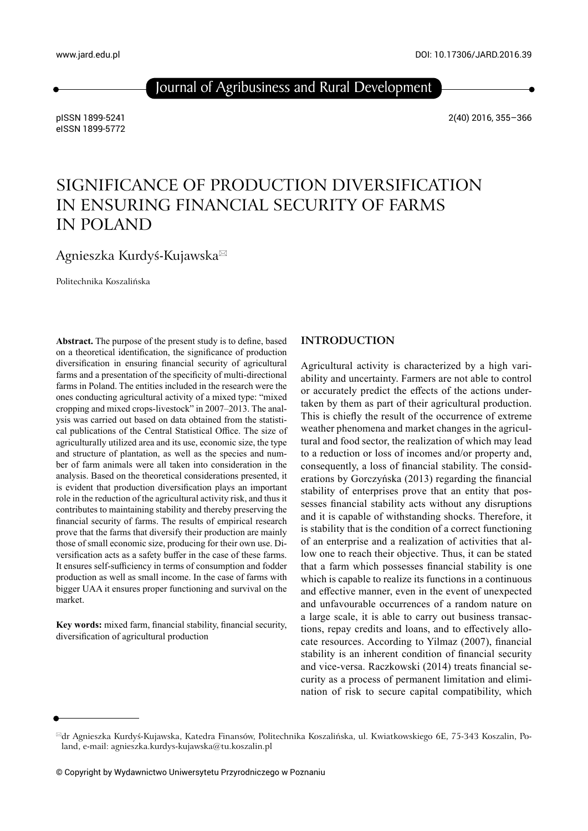www.jard.edu.pl

Journal of Agribusiness and Rural Development

pISSN 1899-5241 eISSN 1899-5772 2(40) 2016, 355–366

# SIGNIFICANCE OF PRODUCTION DIVERSIFICATION IN ENSURING FINANCIAL SECURITY OF FARMS IN POLAND

Agnieszka Kurdyś-Kujawska

Politechnika Koszalińska

Abstract. The purpose of the present study is to define, based on a theoretical identification, the significance of production diversification in ensuring financial security of agricultural farms and a presentation of the specificity of multi-directional farms in Poland. The entities included in the research were the ones conducting agricultural activity of a mixed type: "mixed cropping and mixed crops-livestock" in 2007–2013. The analysis was carried out based on data obtained from the statistical publications of the Central Statistical Office. The size of agriculturally utilized area and its use, economic size, the type and structure of plantation, as well as the species and number of farm animals were all taken into consideration in the analysis. Based on the theoretical considerations presented, it is evident that production diversification plays an important role in the reduction of the agricultural activity risk, and thus it contributes to maintaining stability and thereby preserving the financial security of farms. The results of empirical research prove that the farms that diversify their production are mainly those of small economic size, producing for their own use. Diversification acts as a safety buffer in the case of these farms. It ensures self-sufficiency in terms of consumption and fodder production as well as small income. In the case of farms with bigger UAA it ensures proper functioning and survival on the market.

Key words: mixed farm, financial stability, financial security, diversification of agricultural production

#### **INTRODUCTION**

Agricultural activity is characterized by a high variability and uncertainty. Farmers are not able to control or accurately predict the effects of the actions undertaken by them as part of their agricultural production. This is chiefly the result of the occurrence of extreme weather phenomena and market changes in the agricultural and food sector, the realization of which may lead to a reduction or loss of incomes and/or property and, consequently, a loss of financial stability. The considerations by Gorczyńska (2013) regarding the financial stability of enterprises prove that an entity that possesses financial stability acts without any disruptions and it is capable of withstanding shocks. Therefore, it is stability that is the condition of a correct functioning of an enterprise and a realization of activities that allow one to reach their objective. Thus, it can be stated that a farm which possesses financial stability is one which is capable to realize its functions in a continuous and effective manner, even in the event of unexpected and unfavourable occurrences of a random nature on a large scale, it is able to carry out business transactions, repay credits and loans, and to effectively allocate resources. According to Yilmaz (2007), financial stability is an inherent condition of financial security and vice-versa. Raczkowski (2014) treats financial security as a process of permanent limitation and elimination of risk to secure capital compatibility, which

dr Agnieszka Kurdyś-Kujawska, Katedra Finansów, Politechnika Koszalińska, ul. Kwiatkowskiego 6E, 75-343 Koszalin, Poland, e-mail: agnieszka.kurdys-kujawska@tu.koszalin.pl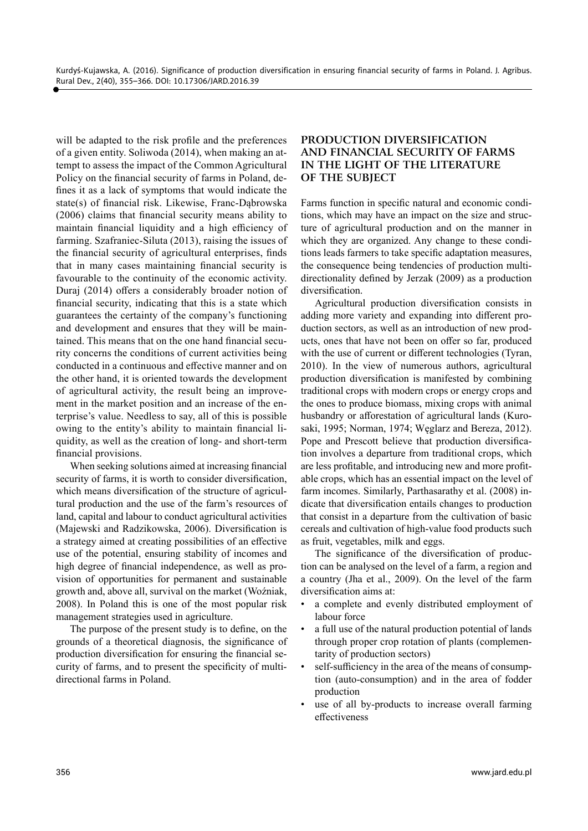will be adapted to the risk profile and the preferences of a given entity. Soliwoda (2014), when making an attempt to assess the impact of the Common Agricultural Policy on the financial security of farms in Poland, defines it as a lack of symptoms that would indicate the state(s) of financial risk. Likewise, Franc-Dąbrowska  $(2006)$  claims that financial security means ability to maintain financial liquidity and a high efficiency of farming. Szafraniec-Siluta (2013), raising the issues of the financial security of agricultural enterprises, finds that in many cases maintaining financial security is favourable to the continuity of the economic activity. Duraj (2014) offers a considerably broader notion of financial security, indicating that this is a state which guarantees the certainty of the company's functioning and development and ensures that they will be maintained. This means that on the one hand financial security concerns the conditions of current activities being conducted in a continuous and effective manner and on the other hand, it is oriented towards the development of agricultural activity, the result being an improvement in the market position and an increase of the enterprise's value. Needless to say, all of this is possible owing to the entity's ability to maintain financial liquidity, as well as the creation of long- and short-term financial provisions.

When seeking solutions aimed at increasing financial security of farms, it is worth to consider diversification, which means diversification of the structure of agricultural production and the use of the farm's resources of land, capital and labour to conduct agricultural activities (Majewski and Radzikowska, 2006). Diversification is a strategy aimed at creating possibilities of an effective use of the potential, ensuring stability of incomes and high degree of financial independence, as well as provision of opportunities for permanent and sustainable growth and, above all, survival on the market (Woźniak, 2008). In Poland this is one of the most popular risk management strategies used in agriculture.

The purpose of the present study is to define, on the grounds of a theoretical diagnosis, the significance of production diversification for ensuring the financial security of farms, and to present the specificity of multidirectional farms in Poland.

#### **PRODUCTION DIVERSIFICATION AND FINANCIAL SECURITY OF FARMS IN THE LIGHT OF THE LITERATURE OF THE SUBJECT**

Farms function in specific natural and economic conditions, which may have an impact on the size and structure of agricultural production and on the manner in which they are organized. Any change to these conditions leads farmers to take specific adaptation measures, the consequence being tendencies of production multidirectionality defined by Jerzak  $(2009)$  as a production diversification.

Agricultural production diversification consists in adding more variety and expanding into different production sectors, as well as an introduction of new products, ones that have not been on offer so far, produced with the use of current or different technologies (Tyran, 2010). In the view of numerous authors, agricultural production diversification is manifested by combining traditional crops with modern crops or energy crops and the ones to produce biomass, mixing crops with animal husbandry or afforestation of agricultural lands (Kurosaki, 1995; Norman, 1974; Węglarz and Bereza, 2012). Pope and Prescott believe that production diversification involves a departure from traditional crops, which are less profitable, and introducing new and more profitable crops, which has an essential impact on the level of farm incomes. Similarly, Parthasarathy et al. (2008) indicate that diversification entails changes to production that consist in a departure from the cultivation of basic cereals and cultivation of high-value food products such as fruit, vegetables, milk and eggs.

The significance of the diversification of production can be analysed on the level of a farm, a region and a country (Jha et al., 2009). On the level of the farm diversification aims at:

- a complete and evenly distributed employment of labour force
- a full use of the natural production potential of lands through proper crop rotation of plants (complementarity of production sectors)
- self-sufficiency in the area of the means of consumption (auto-consumption) and in the area of fodder production
- use of all by-products to increase overall farming effectiveness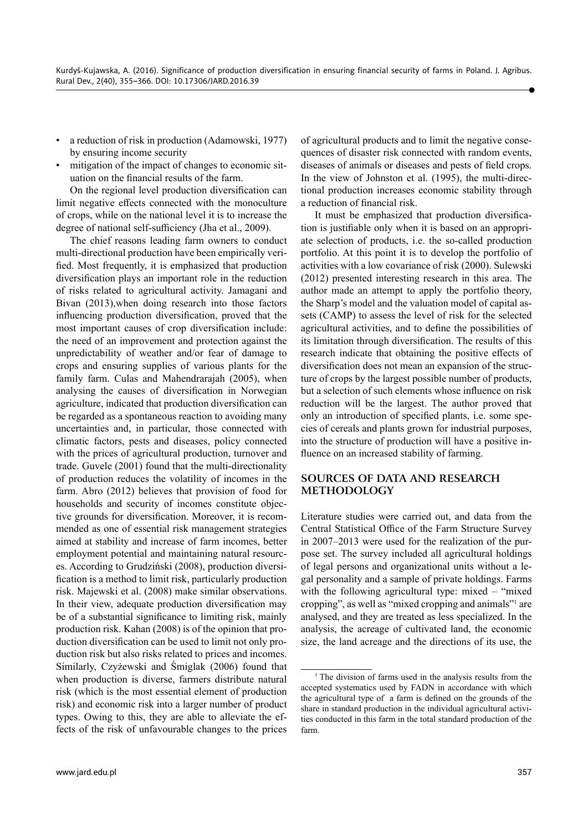- a reduction of risk in production (Adamowski, 1977) by ensuring income security
- mitigation of the impact of changes to economic situation on the financial results of the farm.

On the regional level production diversification can limit negative effects connected with the monoculture of crops, while on the national level it is to increase the degree of national self-sufficiency (Jha et al., 2009).

The chief reasons leading farm owners to conduct multi-directional production have been empirically verified. Most frequently, it is emphasized that production diversification plays an important role in the reduction of risks related to agricultural activity. Jamagani and Bivan (2013),when doing research into those factors influencing production diversification, proved that the most important causes of crop diversification include: the need of an improvement and protection against the unpredictability of weather and/or fear of damage to crops and ensuring supplies of various plants for the family farm. Culas and Mahendrarajah (2005), when analysing the causes of diversification in Norwegian agriculture, indicated that production diversification can be regarded as a spontaneous reaction to avoiding many uncertainties and, in particular, those connected with climatic factors, pests and diseases, policy connected with the prices of agricultural production, turnover and trade. Guvele (2001) found that the multi-directionality of production reduces the volatility of incomes in the farm. Abro (2012) believes that provision of food for households and security of incomes constitute objective grounds for diversification. Moreover, it is recommended as one of essential risk management strategies aimed at stability and increase of farm incomes, better employment potential and maintaining natural resources. According to Grudziński (2008), production diversification is a method to limit risk, particularly production risk. Majewski et al. (2008) make similar observations. In their view, adequate production diversification may be of a substantial significance to limiting risk, mainly production risk. Kahan (2008) is of the opinion that production diversification can be used to limit not only production risk but also risks related to prices and incomes. Similarly, Czyżewski and Śmiglak (2006) found that when production is diverse, farmers distribute natural risk (which is the most essential element of production risk) and economic risk into a larger number of product types. Owing to this, they are able to alleviate the effects of the risk of unfavourable changes to the prices

of agricultural products and to limit the negative consequences of disaster risk connected with random events, diseases of animals or diseases and pests of field crops. In the view of Johnston et al. (1995), the multi-directional production increases economic stability through a reduction of financial risk.

It must be emphasized that production diversification is justifiable only when it is based on an appropriate selection of products, i.e. the so-called production portfolio. At this point it is to develop the portfolio of activities with a low covariance of risk (2000). Sulewski (2012) presented interesting research in this area. The author made an attempt to apply the portfolio theory, the Sharp's model and the valuation model of capital assets (CAMP) to assess the level of risk for the selected agricultural activities, and to define the possibilities of its limitation through diversification. The results of this research indicate that obtaining the positive effects of diversification does not mean an expansion of the structure of crops by the largest possible number of products, but a selection of such elements whose influence on risk reduction will be the largest. The author proved that only an introduction of specified plants, i.e. some species of cereals and plants grown for industrial purposes, into the structure of production will have a positive influence on an increased stability of farming.

#### **SOURCES OF DATA AND RESEARCH METHODOLOGY**

Literature studies were carried out, and data from the Central Statistical Office of the Farm Structure Survey in 2007–2013 were used for the realization of the purpose set. The survey included all agricultural holdings of legal persons and organizational units without a legal personality and a sample of private holdings. Farms with the following agricultural type: mixed – "mixed" cropping", as well as "mixed cropping and animals"1 are analysed, and they are treated as less specialized. In the analysis, the acreage of cultivated land, the economic size, the land acreage and the directions of its use, the

<sup>&</sup>lt;sup>1</sup> The division of farms used in the analysis results from the accepted systematics used by FADN in accordance with which the agricultural type of a farm is defined on the grounds of the share in standard production in the individual agricultural activities conducted in this farm in the total standard production of the farm.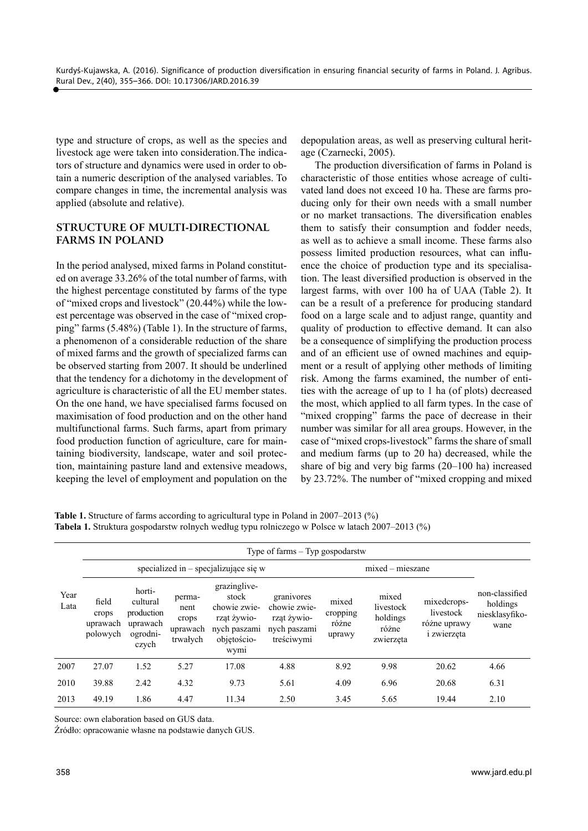type and structure of crops, as well as the species and livestock age were taken into consideration.The indicators of structure and dynamics were used in order to obtain a numeric description of the analysed variables. To compare changes in time, the incremental analysis was applied (absolute and relative).

### **STRUCTURE OF MULTI-DIRECTIONAL FARMS IN POLAND**

In the period analysed, mixed farms in Poland constituted on average 33.26% of the total number of farms, with the highest percentage constituted by farms of the type of "mixed crops and livestock" (20.44%) while the lowest percentage was observed in the case of "mixed cropping" farms (5.48%) (Table 1). In the structure of farms, a phenomenon of a considerable reduction of the share of mixed farms and the growth of specialized farms can be observed starting from 2007. It should be underlined that the tendency for a dichotomy in the development of agriculture is characteristic of all the EU member states. On the one hand, we have specialised farms focused on maximisation of food production and on the other hand multifunctional farms. Such farms, apart from primary food production function of agriculture, care for maintaining biodiversity, landscape, water and soil protection, maintaining pasture land and extensive meadows, keeping the level of employment and population on the

depopulation areas, as well as preserving cultural heritage (Czarnecki, 2005).

The production diversification of farms in Poland is characteristic of those entities whose acreage of cultivated land does not exceed 10 ha. These are farms producing only for their own needs with a small number or no market transactions. The diversification enables them to satisfy their consumption and fodder needs, as well as to achieve a small income. These farms also possess limited production resources, what can influence the choice of production type and its specialisation. The least diversified production is observed in the largest farms, with over 100 ha of UAA (Table 2). It can be a result of a preference for producing standard food on a large scale and to adjust range, quantity and quality of production to effective demand. It can also be a consequence of simplifying the production process and of an efficient use of owned machines and equipment or a result of applying other methods of limiting risk. Among the farms examined, the number of entities with the acreage of up to 1 ha (of plots) decreased the most, which applied to all farm types. In the case of "mixed cropping" farms the pace of decrease in their number was similar for all area groups. However, in the case of "mixed crops-livestock" farms the share of small and medium farms (up to 20 ha) decreased, while the share of big and very big farms (20–100 ha) increased by 23.72%. The number of "mixed cropping and mixed

**Table 1.** Structure of farms according to agricultural type in Poland in 2007–2013 (%) **Tabela 1.** Struktura gospodarstw rolnych według typu rolniczego w Polsce w latach 2007–2013 (%)

|              |                                        |                                                                   |                                                 |                                                                                             | Type of farms $-$ Typ gospodarstw                                       |                                      |                                                      |                                                                |                                                      |
|--------------|----------------------------------------|-------------------------------------------------------------------|-------------------------------------------------|---------------------------------------------------------------------------------------------|-------------------------------------------------------------------------|--------------------------------------|------------------------------------------------------|----------------------------------------------------------------|------------------------------------------------------|
|              |                                        |                                                                   |                                                 | specialized in $-$ specializujące się w                                                     |                                                                         |                                      | $mixed - miesz$ ane                                  |                                                                |                                                      |
| Year<br>Lata | field<br>crops<br>uprawach<br>polowych | horti-<br>cultural<br>production<br>uprawach<br>ogrodni-<br>czych | perma-<br>nent<br>crops<br>uprawach<br>trwałych | grazinglive-<br>stock<br>chowie zwie-<br>rząt żywio-<br>nych paszami<br>objetościo-<br>wymi | granivores<br>chowie zwie-<br>rząt żywio-<br>nych paszami<br>treściwymi | mixed<br>cropping<br>różne<br>uprawy | mixed<br>livestock<br>holdings<br>różne<br>zwierzeta | mixedcrops-<br>livestock<br>różne uprawy<br><i>i</i> zwierzęta | non-classified<br>holdings<br>niesklasyfiko-<br>wane |
| 2007         | 27.07                                  | 1.52                                                              | 5.27                                            | 17.08                                                                                       | 4.88                                                                    | 8.92                                 | 9.98                                                 | 20.62                                                          | 4.66                                                 |
| 2010         | 39.88                                  | 2.42                                                              | 4.32                                            | 9.73                                                                                        | 5.61                                                                    | 4.09                                 | 6.96                                                 | 20.68                                                          | 6.31                                                 |
| 2013         | 49.19                                  | 1.86                                                              | 4.47                                            | 11.34                                                                                       | 2.50                                                                    | 3.45                                 | 5.65                                                 | 19.44                                                          | 2.10                                                 |

Source: own elaboration based on GUS data.

Źródło: opracowanie własne na podstawie danych GUS.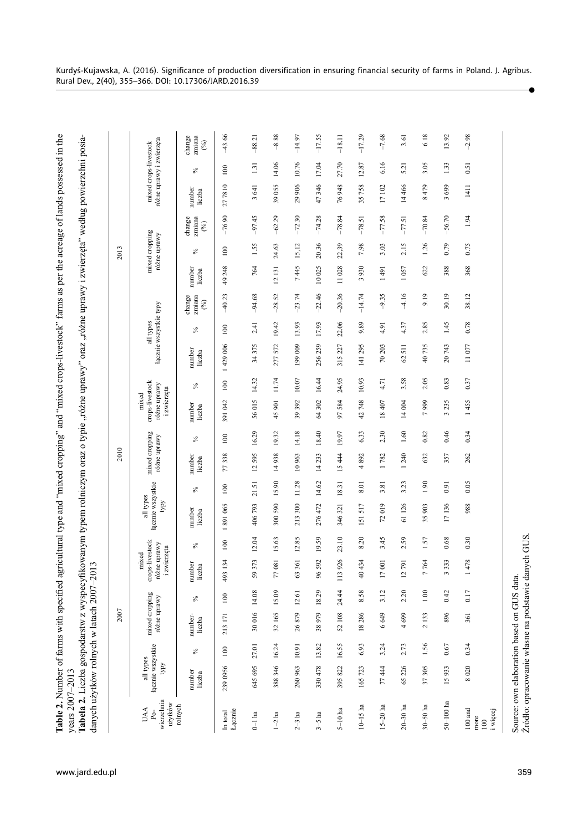| fikowanym typem rolniczym oraz o typie "różne uprawy" oraz "różne uprawy i zwierzęta" według powierzchni posia-<br>agricultural type and "mixed cropping" and "mixed crops-livestock" farms as per the acreage of lands possessed in the<br>fabela 2. Liczba gospodarstw z wyspecyr<br>lable 2. Number of farms with specified<br>$r$ ears 2007–2013 | 2013<br>anych użytków rolnych w latach 2007-2 |
|------------------------------------------------------------------------------------------------------------------------------------------------------------------------------------------------------------------------------------------------------------------------------------------------------------------------------------------------------|-----------------------------------------------|
| ww.jard.edu.pl                                                                                                                                                                                                                                                                                                                                       |                                               |

| Add 100123                                                                                                                                                          |
|---------------------------------------------------------------------------------------------------------------------------------------------------------------------|
| ١<br>ļ<br> <br> <br> <br>かくそ こうきん こうこう<br>)<br>}<br>}<br>remain to home or or other and the<br><b>Hisop</b><br>$\frac{2}{3}$<br>abcia 4. Liczba gosl<br>ahala 1 ias |
| נוטב<br>-<br>C<br>C<br>Ì<br>ċ<br><b>COLO ISLE DE CIRCIO ISLE ISLE DE L'ANNE</b><br>$2 - 7$                                                                          |

|                                                                                                   |                                              |       | 2007                           |          |                                                         |         |                                              |         | 2010                           |       |                                                         |         |                        |           |                         |                  | 2013                           |                         |                          |                       |                         |
|---------------------------------------------------------------------------------------------------|----------------------------------------------|-------|--------------------------------|----------|---------------------------------------------------------|---------|----------------------------------------------|---------|--------------------------------|-------|---------------------------------------------------------|---------|------------------------|-----------|-------------------------|------------------|--------------------------------|-------------------------|--------------------------|-----------------------|-------------------------|
| wierzchnia<br>użytków<br><b>UAA</b><br>$Po-$                                                      | łącznie wszystkie<br>all types<br><b>AdA</b> |       | mixed cropping<br>różne uprawy |          | crops-livestock<br>różne uprawy<br>i zwierzęta<br>mixed |         | łącznie wszystkie<br>all types<br><b>AdG</b> |         | mixed cropping<br>różne uprawy |       | crops-livestock<br>różne uprawy<br>i zwierzęta<br>mixed |         | łącznie wszystkie typy | all types |                         |                  | mixed cropping<br>różne uprawy |                         | różne uprawy i zwierzęta | mixed crops-livestock |                         |
| rolnych                                                                                           | number<br>liczba                             | $\%$  | number-<br>liczba              | $\%$     | number<br>liczba                                        | ℅       | number<br>liczba                             | $\%$    | number<br>liczba               | $\%$  | number<br>liczba                                        | $\%$    | number<br>liczba       | న         | change<br>zmiana<br>(%) | number<br>liczba | ℅                              | change<br>zmiana<br>(%) | number<br>liczba         | వ                     | zmiana<br>change<br>(%) |
| Lącznie<br>In total                                                                               | 239 0956                                     | 100   | 213 171                        | $100\,$  | 134<br>493                                              | $100\,$ | 891065<br>$\overline{\phantom{0}}$           | $100\,$ | 338<br>77                      | 100   | 391042                                                  | $100\,$ | 1429006                | 100       | $-40.23$                | 49 248           | $100\,$                        | $-76.90$                | 277810                   | $100\,$               | 43.66                   |
| $0\!\!-\!\!1$ ha                                                                                  | 645 695                                      | 27.01 | 30 016 14.08                   |          | 373<br>59                                               | 12.04   | 406793                                       | 21.51   | 12595                          | 16.29 | 56015                                                   | 14.32   | 34375                  | 2.41      | $-94.68$                | 764              | 1.55                           | $-97.45$                | 3641                     | 1.31                  | $-88.21$                |
| $1-2$ ha                                                                                          | 388 346                                      | 16.24 | 32 165 15.09                   |          | 081<br>77                                               | 15.63   | 300 590                                      | 15.90   | 14938                          | 19.32 | 45 901                                                  | 11.74   | 277572                 | 19.42     | $-28.52$                | 12131            | 24.63                          | $-62.29$                | 39055                    | 14.06                 | $-8.88$                 |
| $2-3$ ha                                                                                          | 260 963                                      | 10.91 | 26879                          | 12.61    | 361<br>63                                               | 12.85   | 213 300                                      | 11.28   | 10963                          | 14.18 | 39 392                                                  | 10.07   | 199009                 | 13.93     | $-23.74$                | 7445             | 15,12                          | $-72.30$                | 29 906                   | 10.76                 | $-14.97$                |
| $3-5$ ha                                                                                          | 330478                                       | 13.82 | 38979                          | 18.29    | 592<br>96                                               | 19.59   | 276472                                       | 14.62   | 14233                          | 18.40 | 64302                                                   | 16.44   | 256259                 | 17.93     | $-22.46$                | 10025            | 20.36                          | $-74.28$                | 47346                    | 17.04                 | $-17.55$                |
| $5-10$ ha                                                                                         | 395822                                       | 16.55 | 52108                          | 24.44    | 926<br>113                                              | 23.10   | 346 321                                      | 18.31   | 15444                          | 19.97 | 584<br>50                                               | 24.95   | 315 227                | 22.06     | $-20.36$                | 11028            | 22,39                          | $-78.84$                | 76948                    | 27.70                 | $-18.11$                |
| $10-15$ ha                                                                                        | 165723                                       | 6.93  | 18286                          | 8.58     | 434<br>$\frac{40}{3}$                                   | 8.20    | 151517                                       | 8.01    | 892<br>4                       | 6.33  | 42748                                                   | 10.93   | 141 295                | 9.89      | $-14.74$                | 930<br>3         | 7.98                           | $-78.51$                | 35758                    | 12.87                 | $-17.29$                |
| $15-20$ ha                                                                                        | 77444                                        | 3.24  | 6649                           | 3.12     | $\overline{0}$<br>$\overline{17}$                       | 3.45    | 72019                                        | 3.81    | 1782                           | 2.30  | 18407                                                   | 4.71    | 70 203                 | 4.91      | $-9.35$                 | 491              | 3.03                           | $-77.58$                | 17102                    | 6.16                  | $-7.68$                 |
| $20-30$ ha                                                                                        | 65226                                        | 2.73  | 4699                           | 2.20     | 791<br>$\overline{c}$                                   | 2.59    | 61126                                        | 3.23    | 1240                           | 1.60  | 14004                                                   | 3.58    | 62511                  | 4.37      | $-4.16$                 | 1057             | 2.15                           | $-77.51$                | 14466                    | 5.21                  | 3.61                    |
| $30 - 50$ ha                                                                                      | 37305                                        | 1.56  | 2133                           | $1.00\,$ | 764<br>$\overline{ }$                                   | 1.57    | 35 903                                       | 1.90    | 632                            | 0.82  | 7999                                                    | 2.05    | 40735                  | 2.85      | 9.19                    | 622              | 1.26                           | $-70.84$                | 8479                     | 3.05                  | 6.18                    |
| $50 - 100$ ha                                                                                     | 15933                                        | 0.67  | 896                            | 0.42     | 333<br>$\omega$                                         | 0.68    | 17136                                        | 0.91    | 357                            | 0.46  | 235<br>3                                                | 0.83    | 20743                  | 1.45      | 30.19                   | 388              | 0.79                           | $-56.70$                | 3699                     | 1.33                  | 13.92                   |
| $100$ and<br>i więcej<br>more<br>100                                                              | 8020                                         | 0.34  | 361                            | 0.17     | 478                                                     | 0.30    | 988                                          | 0.05    | 262                            | 0.34  | 1455                                                    | 0.37    | 11077                  | 0.78      | 38.12                   | 368              | 0.75                           | 1.94                    | 1411                     | 0.51                  | $-2.98$                 |
| Źródło: opracowanie własne na podstawie danych GUS.<br>Source: own elaboration based on GUS data. |                                              |       |                                |          |                                                         |         |                                              |         |                                |       |                                                         |         |                        |           |                         |                  |                                |                         |                          |                       |                         |

 $\bullet$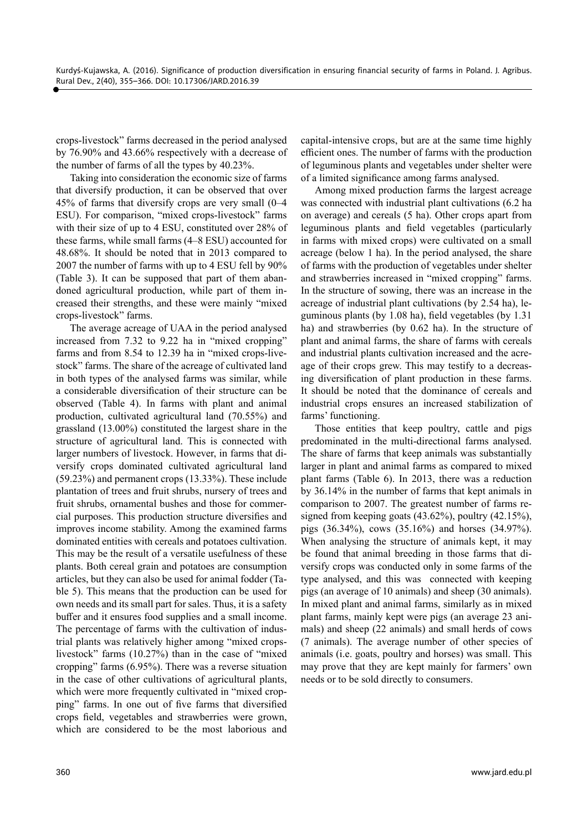crops-livestock" farms decreased in the period analysed by 76.90% and 43.66% respectively with a decrease of the number of farms of all the types by 40.23%.

Taking into consideration the economic size of farms that diversify production, it can be observed that over 45% of farms that diversify crops are very small (0–4 ESU). For comparison, "mixed crops-livestock" farms with their size of up to 4 ESU, constituted over 28% of these farms, while small farms (4–8 ESU) accounted for 48.68%. It should be noted that in 2013 compared to 2007 the number of farms with up to 4 ESU fell by 90% (Table 3). It can be supposed that part of them abandoned agricultural production, while part of them increased their strengths, and these were mainly "mixed crops-livestock" farms.

The average acreage of UAA in the period analysed increased from 7.32 to 9.22 ha in "mixed cropping" farms and from 8.54 to 12.39 ha in "mixed crops-livestock" farms. The share of the acreage of cultivated land in both types of the analysed farms was similar, while a considerable diversification of their structure can be observed (Table 4). In farms with plant and animal production, cultivated agricultural land (70.55%) and grassland (13.00%) constituted the largest share in the structure of agricultural land. This is connected with larger numbers of livestock. However, in farms that diversify crops dominated cultivated agricultural land (59.23%) and permanent crops (13.33%). These include plantation of trees and fruit shrubs, nursery of trees and fruit shrubs, ornamental bushes and those for commercial purposes. This production structure diversifies and improves income stability. Among the examined farms dominated entities with cereals and potatoes cultivation. This may be the result of a versatile usefulness of these plants. Both cereal grain and potatoes are consumption articles, but they can also be used for animal fodder (Table 5). This means that the production can be used for own needs and its small part for sales. Thus, it is a safety buffer and it ensures food supplies and a small income. The percentage of farms with the cultivation of industrial plants was relatively higher among "mixed cropslivestock" farms (10.27%) than in the case of "mixed cropping" farms (6.95%). There was a reverse situation in the case of other cultivations of agricultural plants, which were more frequently cultivated in "mixed cropping" farms. In one out of five farms that diversified crops field, vegetables and strawberries were grown, which are considered to be the most laborious and

capital-intensive crops, but are at the same time highly efficient ones. The number of farms with the production of leguminous plants and vegetables under shelter were of a limited significance among farms analysed.

Among mixed production farms the largest acreage was connected with industrial plant cultivations (6.2 ha on average) and cereals (5 ha). Other crops apart from leguminous plants and field vegetables (particularly in farms with mixed crops) were cultivated on a small acreage (below 1 ha). In the period analysed, the share of farms with the production of vegetables under shelter and strawberries increased in "mixed cropping" farms. In the structure of sowing, there was an increase in the acreage of industrial plant cultivations (by 2.54 ha), leguminous plants (by  $1.08$  ha), field vegetables (by  $1.31$ ) ha) and strawberries (by 0.62 ha). In the structure of plant and animal farms, the share of farms with cereals and industrial plants cultivation increased and the acreage of their crops grew. This may testify to a decreasing diversification of plant production in these farms. It should be noted that the dominance of cereals and industrial crops ensures an increased stabilization of farms' functioning.

Those entities that keep poultry, cattle and pigs predominated in the multi-directional farms analysed. The share of farms that keep animals was substantially larger in plant and animal farms as compared to mixed plant farms (Table 6). In 2013, there was a reduction by 36.14% in the number of farms that kept animals in comparison to 2007. The greatest number of farms resigned from keeping goats (43.62%), poultry (42.15%), pigs (36.34%), cows (35.16%) and horses (34.97%). When analysing the structure of animals kept, it may be found that animal breeding in those farms that diversify crops was conducted only in some farms of the type analysed, and this was connected with keeping pigs (an average of 10 animals) and sheep (30 animals). In mixed plant and animal farms, similarly as in mixed plant farms, mainly kept were pigs (an average 23 animals) and sheep (22 animals) and small herds of cows (7 animals). The average number of other species of animals (i.e. goats, poultry and horses) was small. This may prove that they are kept mainly for farmers' own needs or to be sold directly to consumers.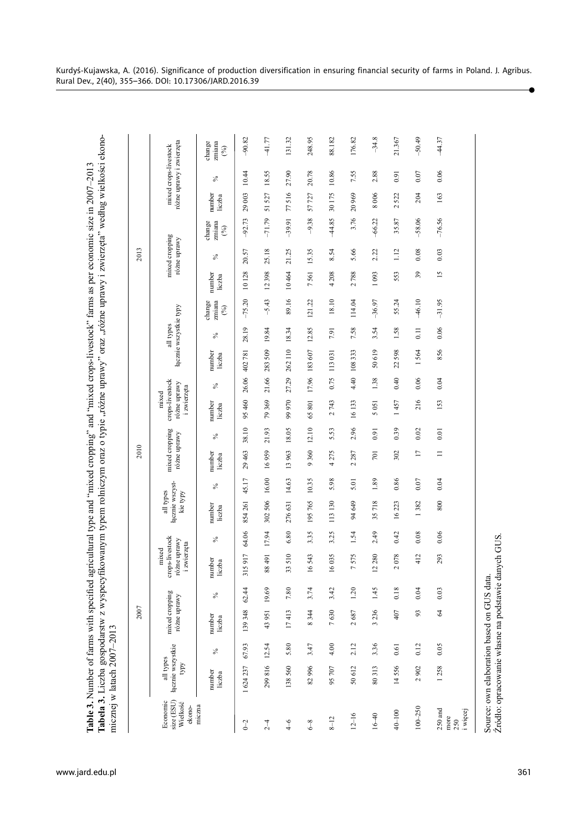| agricultural type and "mixed cropping" and "mixed crops-livestock" farms as per economic size in 2007-2013<br>h specifie<br>f farms wi | fikowanym typem rolniczym oraz o typie "różne uprawy" oraz "różne uprawy i zwierzęta" według wielkości ekono-<br>$nic$ znej w latach 2007–2013 |
|----------------------------------------------------------------------------------------------------------------------------------------|------------------------------------------------------------------------------------------------------------------------------------------------|
| able 3. Number of                                                                                                                      | labela 3. Liczba g                                                                                                                             |
| ww.jard.edu.pl                                                                                                                         |                                                                                                                                                |

|                                                                                                   |                                              |       | 2007                           |       |                                                                    |       |                                          |       | 2010                           |       |                                                         |       |                        |           |                         |                  | 2013                           |                         |                  |                                                   |                                                  |
|---------------------------------------------------------------------------------------------------|----------------------------------------------|-------|--------------------------------|-------|--------------------------------------------------------------------|-------|------------------------------------------|-------|--------------------------------|-------|---------------------------------------------------------|-------|------------------------|-----------|-------------------------|------------------|--------------------------------|-------------------------|------------------|---------------------------------------------------|--------------------------------------------------|
| size (ESU)<br>Economic<br>Wielkość<br>ekono-                                                      | łącznie wszystkie<br>all types<br><b>AdA</b> |       | mixed cropping<br>różne uprawy |       | crops-livestock<br>różne uprawy<br>zwierzęta<br>mixed<br>$\ddot{}$ |       | łącznie wszyst-<br>all types<br>kie typy |       | mixed cropping<br>różne uprawy |       | crops-livestock<br>różne uprawy<br>i zwierzęta<br>mixed |       | łącznie wszystkie typy | all types |                         |                  | mixed cropping<br>różne uprawy |                         |                  | różne uprawy i zwierzęta<br>mixed crops-livestock |                                                  |
| miczna                                                                                            | number<br>liczba                             | $\%$  | number<br>liczba               | $\%$  | number<br>liczba                                                   | $\%$  | number<br>liczba                         | $\%$  | number<br>liczba               | $\%$  | number<br>liczba                                        | $\%$  | number<br>liczba       | $\%$      | change<br>zmiana<br>(%) | number<br>liczba | $\%$                           | zmiana<br>change<br>(%) | number<br>liczba | ℅                                                 | change<br>zmiana<br>$\mathcal{C}^{\diamondsuit}$ |
| $0 - 2$                                                                                           | 1624237                                      | 67.93 | 139348                         | 62.44 | 917<br>5<br>$\frac{1}{2}$                                          | 64.06 | 854 261                                  | 45.17 | 29463                          | 38.10 | 95 460                                                  | 26.06 | 402781                 | 28.19     | $-75.20$                | 10128            | 20.57                          | $-92.73$                | 29003            | 10.44                                             | $-90.82$                                         |
| $2-4$                                                                                             | 299816                                       | 12.54 | 43951                          | 19.69 | 88491                                                              | 17.94 | 302 506                                  | 16.00 | 16959                          | 21.93 | 79369                                                   | 21.66 | 283509                 | 19.84     | $-5.43$                 | 12398            | 25.18                          | $-71.79$                | 51 527           | 18.55                                             | $-41.77$                                         |
| $\frac{4}{6}$                                                                                     | 138560                                       | 5.80  | 17413                          | 7.80  | 33510                                                              | 6.80  | 276631                                   | 14.63 | 13963                          | 18.05 | 99970                                                   | 27.29 | 262110                 | 18.34     | 89.16                   | 10464            | 21.25                          | $-39.91$                | 77516            | 27.90                                             | 131.32                                           |
| $6 - 8$                                                                                           | 82996                                        | 3.47  | 8344                           | 3.74  | 16543                                                              | 3.35  | 195765                                   | 10.35 | 9360                           | 12.10 | 65801                                                   |       | 17.96 183 607          | 12.85     | 121.22                  | 7561             | 15.35                          | $-9.38$                 | 57727            | 20.78                                             | 248.95                                           |
| $8 - 12$                                                                                          | 95707                                        | 4.00  | 7630                           | 3.42  | 16035                                                              | 3.25  | 113130                                   | 5.98  | 4275                           | 5.53  | 2743                                                    | 0.75  | 113031                 | 7.91      | 18.10                   | 4 2 0 8          | 8.54                           | -44.85                  | 30175            | 10.86                                             | 88.182                                           |
| $12 - 16$                                                                                         | 50 612                                       | 2.12  | 2687                           | 1.20  | 575<br>Γ                                                           | 1.54  | 94 649                                   | 5.01  | 2287                           | 2.96  | 16133                                                   | 4.40  | 108333                 | 7.58      | 114.04                  | 2788             | 5.66                           | 3.76                    | 20969            | 7.55                                              | 176.82                                           |
| $16 - 40$                                                                                         | 80313                                        | 3.36  | 3236                           | 1.45  | 280<br>$\mathbf{\Omega}$                                           | 2.49  | 35718                                    | 1.89  | 701                            | 0.91  | 5051                                                    | 1.38  | 50619                  | 3.54      | $-36.97$                | 1093             | 2.22                           | $-66.22$                | 8006             | 2.88                                              | $-34.8$                                          |
| $40 - 100$                                                                                        | 14556                                        | 0.61  | 407                            | 0.18  | 078<br>$\sim$                                                      | 0.42  | 16223                                    | 0.86  | 302                            | 0.39  | 1457                                                    | 0.40  | 22598                  | 1.58      | 55.24                   | 553              | 1.12                           | 35.87                   | 522<br>$\sim$    | 0.91                                              | 21.367                                           |
| $100 - 250$                                                                                       | 2902                                         | 0.12  | 93                             | 0.04  | 412                                                                | 0.08  | 1382                                     | 0.07  | $\Box$                         | 0.02  | 216                                                     | 0.06  | 1564                   | 0.11      | $-46.10$                | 39               | 0.08                           | $-58.06$                | 204              | 0.07                                              | $-50.49$                                         |
| $250$ and<br>i więcej<br>more<br>250                                                              | 1258                                         | 0.05  | $\mathcal{R}$                  | 0.03  | 293                                                                | 0.06  | 800                                      | 0.04  | $\equiv$                       | 0.01  | 153                                                     | 0.04  | 856                    | $0.06$    | $-31.95$                | $\overline{15}$  | 0.03                           | $-76.56$                | 163              | 0.06                                              | 44.37                                            |
| Źródło: opracowanie własne na podstawie danych GUS.<br>Source: own elaboration based on GUS data. |                                              |       |                                |       |                                                                    |       |                                          |       |                                |       |                                                         |       |                        |           |                         |                  |                                |                         |                  |                                                   |                                                  |

ó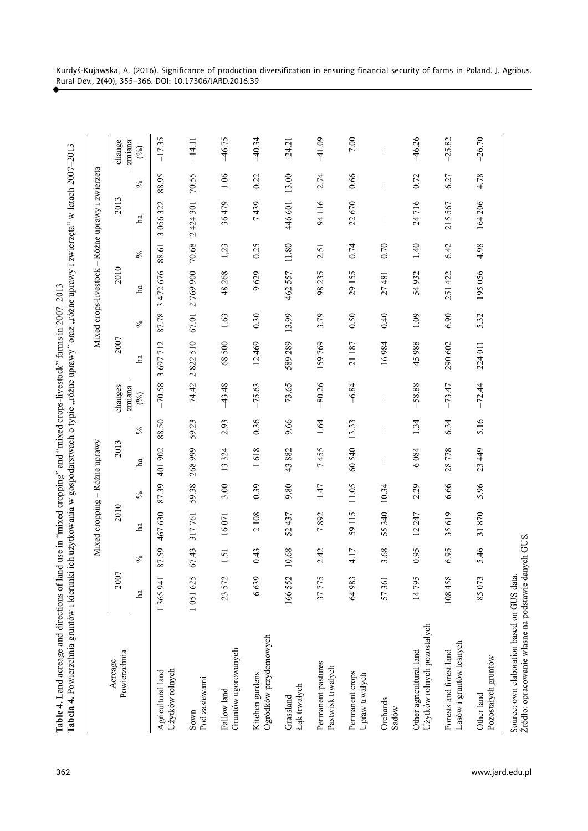|                      | ֧ׅ֧֧֧֚֚֚֚֚֚֚֚֚֚֚֚֚֚֚֚֚֚֚֚֚֚֚֚֬֡֡֓֡֡֓֡֝֬֓֡֓֬֝֓֝֬֝֓                                                                                                                                                                             |
|----------------------|-------------------------------------------------------------------------------------------------------------------------------------------------------------------------------------------------------------------------------|
|                      |                                                                                                                                                                                                                               |
|                      |                                                                                                                                                                                                                               |
|                      |                                                                                                                                                                                                                               |
|                      |                                                                                                                                                                                                                               |
|                      | ֧֧ׅ֧֧֧֧֧֧֧֧֧֧֧֧֧֧֧֧֧֚֚֚֚֚֚֚֚֚֚֚֚֚֚֚֚֚֚֚֚֚֚֚֚֚֚֚֚֚֝֝֝֟֓֝֓֝֓֝֓֝֬֝֓֝֬֝֓֝֬֝֬֝֬֝֬֝֬֝֬֝֬֝֬֝                                                                                                                                         |
|                      |                                                                                                                                                                                                                               |
|                      |                                                                                                                                                                                                                               |
|                      |                                                                                                                                                                                                                               |
|                      | $\frac{1}{2}$                                                                                                                                                                                                                 |
| $\sim$ 12            |                                                                                                                                                                                                                               |
| I                    |                                                                                                                                                                                                                               |
| くさく にくく              | <i>i</i> silgar nome :                                                                                                                                                                                                        |
|                      | ;<br>)                                                                                                                                                                                                                        |
|                      |                                                                                                                                                                                                                               |
|                      |                                                                                                                                                                                                                               |
|                      |                                                                                                                                                                                                                               |
|                      | s<br>J                                                                                                                                                                                                                        |
|                      |                                                                                                                                                                                                                               |
|                      |                                                                                                                                                                                                                               |
|                      | The section of the section of the contract of the contract of the contract of the contract of the contract of the contract of the contract of the contract of the contract of the contract of the contract of the contract of |
|                      |                                                                                                                                                                                                                               |
|                      |                                                                                                                                                                                                                               |
|                      |                                                                                                                                                                                                                               |
| $\ddot{\phantom{a}}$ |                                                                                                                                                                                                                               |
| Ī                    |                                                                                                                                                                                                                               |
|                      |                                                                                                                                                                                                                               |
| ĺ                    | てんりょく こうしょう<br>j                                                                                                                                                                                                              |
|                      |                                                                                                                                                                                                                               |
|                      |                                                                                                                                                                                                                               |
|                      |                                                                                                                                                                                                                               |
| $\frac{1}{2}$        |                                                                                                                                                                                                                               |
|                      |                                                                                                                                                                                                                               |
|                      |                                                                                                                                                                                                                               |
|                      |                                                                                                                                                                                                                               |
|                      |                                                                                                                                                                                                                               |
|                      |                                                                                                                                                                                                                               |
|                      |                                                                                                                                                                                                                               |
| $\frac{1}{2}$        | ILOW 1                                                                                                                                                                                                                        |
| <b>.</b><br>יימ      |                                                                                                                                                                                                                               |
|                      |                                                                                                                                                                                                                               |
|                      |                                                                                                                                                                                                                               |
|                      |                                                                                                                                                                                                                               |
|                      |                                                                                                                                                                                                                               |
|                      |                                                                                                                                                                                                                               |
|                      |                                                                                                                                                                                                                               |
|                      | j                                                                                                                                                                                                                             |
| ,                    |                                                                                                                                                                                                                               |
|                      |                                                                                                                                                                                                                               |
|                      |                                                                                                                                                                                                                               |

|                                                        |         |       | Mixed cropping - Różne uprawy |       |                                 |       |               |                 |                  |              |                  | Mixed crops-livestock - Różne uprawy i zwierzęta |       |               |
|--------------------------------------------------------|---------|-------|-------------------------------|-------|---------------------------------|-------|---------------|-----------------|------------------|--------------|------------------|--------------------------------------------------|-------|---------------|
| Powierzchnia<br>Acreage                                | 2007    |       | 2010                          |       | 2013                            |       | changes       | 2007            |                  | 2010         |                  | 2013                                             |       | change        |
|                                                        | ha      | $\%$  | $\rm \tilde{a}$               | $\%$  | ha                              | $\%$  | zmiana<br>(%) | $\rm \tilde{a}$ | $\delta_{\rm O}$ | $\mathbf{a}$ | $\delta_{\rm O}$ | $\mathbf{a}$                                     | $\%$  | zmiana<br>(%) |
| Użytków rolnych<br>Agricultural land                   | 1365941 | 87.59 | 467630                        | 87.39 | 401902                          | 88.50 | $-70.58$      | 697712<br>3     | 87.78            | 3472676      | 88.61            | 3 056 322                                        | 88.95 | $-17.35$      |
| Pod zasiewami<br>Sown                                  | 1051625 | 67.43 | 317761                        | 59.38 | 268 999                         | 59.23 | $-74.42$      | 2822510         | 67.01            | 2769900      | 70.68            | 2 424 301                                        | 70.55 | $-14.11$      |
| Gruntów ugorowanych<br>Fallow land                     | 23572   | 1.51  | 16071                         | 3.00  | 13324                           | 2.93  | $-43.48$      | 68500           | 1.63             | 48268        | 1,23             | 36479                                            | 1.06  | $-46.75$      |
| Ogródków przydomowych<br>Kitchen gardens               | 6639    | 0.43  | 2108                          | 0.39  | 618<br>$\overline{\phantom{0}}$ | 0.36  | $-75.63$      | 12469           | 0.30             | 9629         | 0.25             | 7439                                             | 0.22  | $-40.34$      |
| Łąk trwałych<br>Grassland                              | 166552  | 0.68  | 52437                         | 9.80  | 882<br>43                       | 9.66  | $-73.65$      | 589289          | 13.99            | 462557       | $11.80\,$        | 446 601                                          | 13.00 | $-24.21$      |
| Permanent pastures<br>Pastwisk trwałych                | 37775   | 2.42  | 7892                          | 1.47  | 7455                            | 1.64  | $-80.26$      | 159769          | 3.79             | 98235        | 2.51             | 94116                                            | 2.74  | $-41.09$      |
| Permanent crops<br>Upraw trwałych                      | 64983   | 4.17  | 59115                         | 11.05 | 60540                           | 13.33 | $-6.84$       | 21187           | 0.50             | 29155        | 0.74             | 22670                                            | 0.66  |               |
| Orchards<br>Sadów                                      | 57361   | 3.68  | 55340                         | 10.34 |                                 |       | I             | 16984           | 0.40             | 27481        | 0.70             |                                                  |       |               |
| Użytków rolnych pozostałych<br>Other agricultural land | 14795   | 0.95  | 12247                         | 2.29  | 6084                            | 1.34  | $-58.88$      | 45988           | 1.09             | 54932        | 1.40             | 24716                                            | 0.72  | $-46.26$      |
| Lasów i gruntów leśnych<br>Forests and forest land     | 108458  | 6.95  | 35619                         | 6.66  | 28778                           | 6.34  | $-73.47$      | 290 602         | 6.90             | 251422       | 6.42             | 215567                                           | 6.27  | $-25.82$      |
| Pozostałych gruntów<br>Other land                      | 85073   | 5.46  | 870<br>$\overline{31}$        | 5.96  | 449<br>23                       | 5.16  | $-72.44$      | 224 011         | 5.32             | 195056       | 4.98             | 164206                                           | 4.78  | $-26.70$      |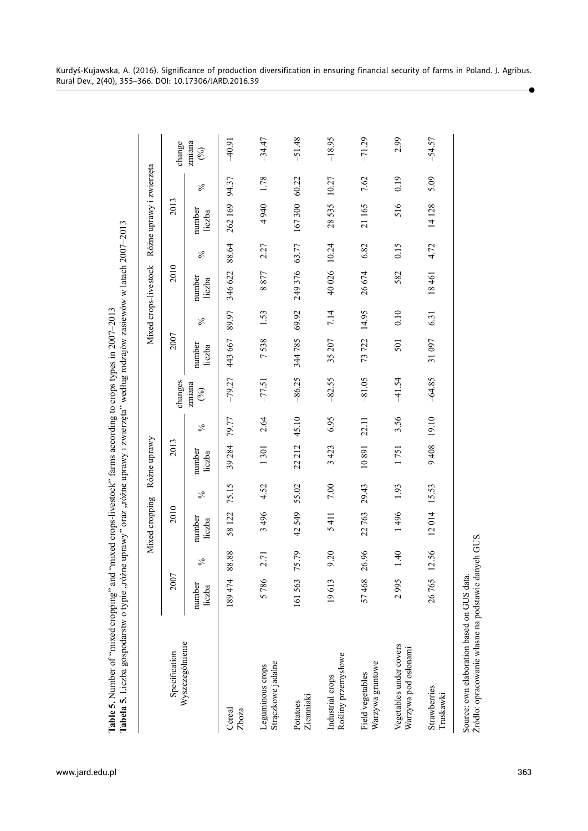|                                                                                                   |                  |       | Mixed cropping - Różne uprawy |        |                  |       |               |                  |            |                  |               | Mixed crops-livestock - Różne uprawy i zwierzęta |       |                     |
|---------------------------------------------------------------------------------------------------|------------------|-------|-------------------------------|--------|------------------|-------|---------------|------------------|------------|------------------|---------------|--------------------------------------------------|-------|---------------------|
| Specification                                                                                     | 2007             |       | 2010                          |        | 2013             |       | changes       | 2007             |            | 2010             |               | 2013                                             |       | change              |
| Wyszczególnienie                                                                                  | number<br>liczba | $\%$  | number<br>liczba              | $\%$   | number<br>liczba | $\%$  | zmiana<br>(%) | number<br>liczba | $\delta_0$ | number<br>liczba | $\frac{6}{6}$ | number<br>liczba                                 | $\%$  | zmiana<br>$($ % $)$ |
| Cereal<br>Zboża                                                                                   | 189474           | 88.88 | 58 122                        | 75.15  | 39 284           | 79.77 | $-79.27$      | 443 667          | 89.97      | 346 622          | 88.64         | 262169                                           | 94.37 | $-40.91$            |
| Strączkowe jadalne<br>Leguminous crops                                                            | 5786             | 2.71  | 3496                          | 4.52   | 1301             | 2.64  | $-77.51$      | 7538             | 1.53       | 8877             | 2.27          | 4 940                                            | 1.78  | $-34.47$            |
| Ziemniaki<br>Potatoes                                                                             | 161563           | 75.79 | 42549                         | 55.02  | 22 212           | 45.10 | $-86.25$      | 344785           | 69.92      | 249376           | 63.77         | 167300                                           | 60.22 | $-51.48$            |
| Rośliny przemysłowe<br>Industrial crops                                                           | 19613            | 9.20  | 5411                          | $7.00$ | 3423             | 6.95  | $-82.55$      | 35 207           | 7.14       | 40026            | 10.24         | 28535                                            | 10.27 | $-18.95$            |
| Warzywa gruntowe<br>Field vegetables                                                              | 57468            | 26.96 | 22763                         | 29.43  | 10891            | 22.11 | $-81.05$      | 73722            | 14.95      | 26674            | 6.82          | 21165                                            | 7.62  | $-71.29$            |
| Vegetables under covers<br>Warzywa pod osłonami                                                   | 2995             | 1.40  | 1496                          | 1.93   | 1751             | 3.56  | $-41.54$      | 501              | 0.10       | 582              | 0.15          | 516                                              | 0.19  | 2.99                |
| Strawberries<br>Truskawki                                                                         | 26765            | 12.56 | 12014                         | 15.53  | 9408             | 19.10 | $-64.85$      | 31097            | 6.31       | 18461            | 4.72          | 14128                                            | 5.09  | $-54.57$            |
| Zródło: opracowanie własne na podstawie danych GUS.<br>Source: own elaboration based on GUS data. |                  |       |                               |        |                  |       |               |                  |            |                  |               |                                                  |       |                     |

**Tabela 5.** Liczba gospodarstw o typie "różne uprawy" oraz "różne uprawy i zwierzęta" według rodzajów zasiewów w latach 2007–2013  $w$  latach 2007 $-2013$ www.jard.edu.pl**Table 5.** Number of "mixed cropping" and "mixed crops-livestock" farms according to crops types in 2007–2013 Table 5. Number of "mixed cropping" and "mixed crops-livestock" farms according to crops types in 2007–2013

www.jard.edu.pl

Kurdyś-Kujawska, A. (2016). Significance of production diversification in ensuring financial security of farms in Poland. J. Agribus. Rural Dev., 2(40), 355–366. DOI: 10.17306/JARD.2016.39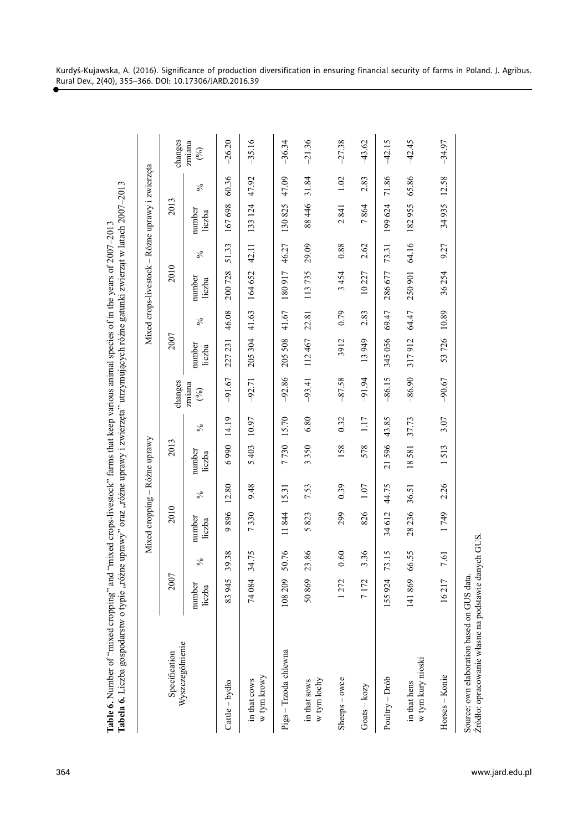|                                                                   | $\frac{1}{2}$<br>ĺ             |
|-------------------------------------------------------------------|--------------------------------|
|                                                                   |                                |
|                                                                   | $\ddot{\phantom{0}}$<br>ו<br>י |
| י יירה הללו                                                       |                                |
| $C107-1007$                                                       | $\mathbf{I}$                   |
|                                                                   |                                |
|                                                                   | $\overline{\phantom{a}}$       |
|                                                                   |                                |
| $-201000 + 140$<br>$\frac{1}{2}$                                  | こく くらじくそ                       |
|                                                                   |                                |
|                                                                   |                                |
|                                                                   |                                |
|                                                                   | دست سالاند                     |
|                                                                   |                                |
|                                                                   |                                |
|                                                                   | ֧֦֦֦֧֦֦֧֦֚֬֝֝֝֝                |
| <b>A</b> 1991 1991                                                |                                |
|                                                                   | f which with the company       |
|                                                                   | きしょう こうちょう                     |
|                                                                   |                                |
|                                                                   |                                |
| $\frac{1}{2}$<br>$\sim$ $\sim$ $\sim$ $\sim$ $\sim$ $\sim$ $\sim$ |                                |
|                                                                   |                                |
|                                                                   | <b>ICA</b>                     |
| $\,$ audoboro $\,$                                                |                                |
|                                                                   | ' CTW<br>$\frac{1}{2}$         |
|                                                                   |                                |
|                                                                   |                                |
|                                                                   | )<br>}<br>}                    |
|                                                                   |                                |
|                                                                   | $\frac{1}{2}$                  |
|                                                                   |                                |

|                                   |                  |            |                                 |       | Mixed cropping - Różne uprawy   |            |               |                  |            | Mixed crops-livestock - Różne uprawy i zwierzęta |            |                  |       |               |
|-----------------------------------|------------------|------------|---------------------------------|-------|---------------------------------|------------|---------------|------------------|------------|--------------------------------------------------|------------|------------------|-------|---------------|
| Specification                     | 2007             |            | 2010                            |       | 2013                            |            | changes       | 2007             |            | 2010                                             |            | 2013             |       | changes       |
| Wyszczególnienie                  | number<br>liczba | $\sqrt{6}$ | number<br>liczba                | $\%$  | number<br>liczba                | $\sqrt{6}$ | zmiana<br>(%) | number<br>liczba | $\sqrt{6}$ | number<br>liczba                                 | $\sqrt{6}$ | number<br>liczba | $\%$  | zmiana<br>(%) |
| Cattle - bydło                    | 83 945           | 39.38      | 896<br>Ó                        | 12.80 | 6990                            | 14.19      | $-91.67$      | 227 231          | 46.08      | 200728                                           | 51.33      | 167698           | 60.36 | $-26.20$      |
| w tym krowy<br>in that cows       | 74084            | 34.75      | 330<br>$\overline{ }$           | 9.48  | 5403                            | 10.97      | $-92.71$      | 205304           | 41.63      | 164652                                           | 42.11      | 133 124          | 47.92 | $-35.16$      |
| Pigs - Trzoda chlewna             | 108209           | 50.76      | 11844                           | 15.31 | 7730                            | 15.70      | $-92.86$      | 205508           | 41.67      | 180917                                           | 46.27      | 130825           | 47.09 | $-36.34$      |
| w tym lochy<br>in that sows       | 50869            | 23.86      | 823<br>$\sigma$                 | 7.53  | 3350                            | 6.80       | $-93.41$      | 112467           | 22.81      | 113735                                           | 29.09      | 88446            | 31.84 | $-21.36$      |
| Sheeps - owce                     | 1272             | 0.60       | 299                             | 0.39  | 158                             | 0.32       | $-87.58$      | 3912             | 0.79       | 3454                                             | 0.88       | 2841             | 1.02  | $-27.38$      |
| $G$ oats – $kozy$                 | 7172             | 3.36       | 826                             | 1.07  | 578                             | 1.17       | $-91.94$      | 13949            | 2.83       | 10227                                            | 2.62       | 7864             | 2.83  | $-43.62$      |
| Poultry - Drób                    | 155924           | 73.15      | 34612                           | 44.75 | 596<br>$\overline{21}$          | 43.85      | $-86.15$      | 345056           | 69.47      | 286677                                           | 73.31      | 199624           | 71.86 | $-42.15$      |
| w tym kury nioski<br>in that hens | 141869           | 66.55      | 28236                           | 36.51 | 18581                           | 37.73      | $-86.90$      | 317912           | 64.47      | 250 901                                          | 64.16      | 182955           | 65.86 | $-42.45$      |
| Horses - Konie                    | 16217            | 7.61       | 749<br>$\overline{\phantom{0}}$ | 2.26  | 513<br>$\overline{\phantom{0}}$ | 3.07       | $-90.67$      | 726<br>53        | 10.89      | 36254                                            | 9.27       | 34935            | 12.58 | $-34.97$      |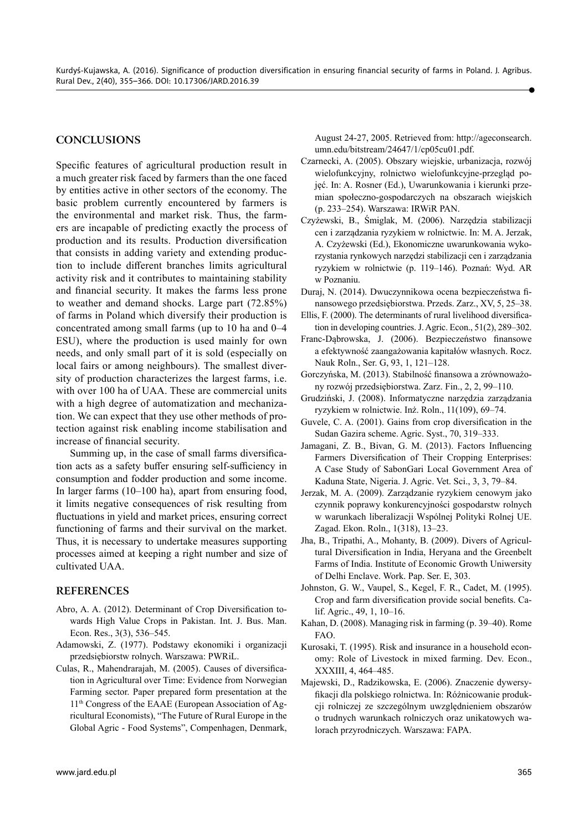#### **CONCLUSIONS**

Specific features of agricultural production result in a much greater risk faced by farmers than the one faced by entities active in other sectors of the economy. The basic problem currently encountered by farmers is the environmental and market risk. Thus, the farmers are incapable of predicting exactly the process of production and its results. Production diversification that consists in adding variety and extending production to include different branches limits agricultural activity risk and it contributes to maintaining stability and financial security. It makes the farms less prone to weather and demand shocks. Large part (72.85%) of farms in Poland which diversify their production is concentrated among small farms (up to 10 ha and 0–4 ESU), where the production is used mainly for own needs, and only small part of it is sold (especially on local fairs or among neighbours). The smallest diversity of production characterizes the largest farms, i.e. with over 100 ha of UAA. These are commercial units with a high degree of automatization and mechanization. We can expect that they use other methods of protection against risk enabling income stabilisation and increase of financial security.

Summing up, in the case of small farms diversification acts as a safety buffer ensuring self-sufficiency in consumption and fodder production and some income. In larger farms (10–100 ha), apart from ensuring food, it limits negative consequences of risk resulting from fluctuations in yield and market prices, ensuring correct functioning of farms and their survival on the market. Thus, it is necessary to undertake measures supporting processes aimed at keeping a right number and size of cultivated UAA.

#### **REFERENCES**

- Abro, A. A. (2012). Determinant of Crop Diversification towards High Value Crops in Pakistan. Int. J. Bus. Man. Econ. Res., 3(3), 536–545.
- Adamowski, Z. (1977). Podstawy ekonomiki i organizacji przedsiębiorstw rolnych. Warszawa: PWRiL.
- Culas, R., Mahendrarajah, M. (2005). Causes of diversification in Agricultural over Time: Evidence from Norwegian Farming sector. Paper prepared form presentation at the 11th Congress of the EAAE (European Association of Agricultural Economists), "The Future of Rural Europe in the Global Agric - Food Systems", Compenhagen, Denmark,

August 24-27, 2005. Retrieved from: http://ageconsearch. umn.edu/bitstream/24647/1/cp05cu01.pdf.

- Czarnecki, A. (2005). Obszary wiejskie, urbanizacja, rozwój wielofunkcyjny, rolnictwo wielofunkcyjne-przegląd pojęć. In: A. Rosner (Ed.), Uwarunkowania i kierunki przemian społeczno-gospodarczych na obszarach wiejskich (p. 233–254). Warszawa: IRWiR PAN.
- Czyżewski, B., Śmiglak, M. (2006). Narzędzia stabilizacji cen i zarządzania ryzykiem w rolnictwie. In: M. A. Jerzak, A. Czyżewski (Ed.), Ekonomiczne uwarunkowania wykorzystania rynkowych narzędzi stabilizacji cen i zarządzania ryzykiem w rolnictwie (p. 119–146). Poznań: Wyd. AR w Poznaniu.
- Duraj, N. (2014). Dwuczynnikowa ocena bezpieczeństwa finansowego przedsiębiorstwa. Przeds. Zarz., XV, 5, 25–38.
- Ellis, F. (2000). The determinants of rural livelihood diversification in developing countries. J. Agric. Econ., 51(2), 289–302.
- Franc-Dąbrowska, J. (2006). Bezpieczeństwo finansowe a efektywność zaangażowania kapitałów własnych. Rocz. Nauk Roln., Ser. G, 93, 1, 121–128.
- Gorczyńska, M. (2013). Stabilność finansowa a zrównoważony rozwój przedsiębiorstwa. Zarz. Fin., 2, 2, 99–110.
- Grudziński, J. (2008). Informatyczne narzędzia zarządzania ryzykiem w rolnictwie. Inż. Roln., 11(109), 69–74.
- Guvele, C. A. (2001). Gains from crop diversification in the Sudan Gazira scheme. Agric. Syst., 70, 319–333.
- Jamagani, Z. B., Bivan, G. M. (2013). Factors Influencing Farmers Diversification of Their Cropping Enterprises: A Case Study of SabonGari Local Government Area of Kaduna State, Nigeria. J. Agric. Vet. Sci., 3, 3, 79–84.
- Jerzak, M. A. (2009). Zarządzanie ryzykiem cenowym jako czynnik poprawy konkurencyjności gospodarstw rolnych w warunkach liberalizacji Wspólnej Polityki Rolnej UE. Zagad. Ekon. Roln., 1(318), 13–23.
- Jha, B., Tripathi, A., Mohanty, B. (2009). Divers of Agricultural Diversification in India, Heryana and the Greenbelt Farms of India. Institute of Economic Growth Uniwersity of Delhi Enclave. Work. Pap. Ser. E, 303.
- Johnston, G. W., Vaupel, S., Kegel, F. R., Cadet, M. (1995). Crop and farm diversification provide social benefits. Calif. Agric., 49, 1, 10–16.
- Kahan, D. (2008). Managing risk in farming (p. 39–40). Rome FAO.
- Kurosaki, T. (1995). Risk and insurance in a household economy: Role of Livestock in mixed farming. Dev. Econ., XXXIII, 4, 464–485.
- Majewski, D., Radzikowska, E. (2006). Znaczenie dywersyfikacji dla polskiego rolnictwa. In: Różnicowanie produkcji rolniczej ze szczególnym uwzględnieniem obszarów o trudnych warunkach rolniczych oraz unikatowych walorach przyrodniczych. Warszawa: FAPA.